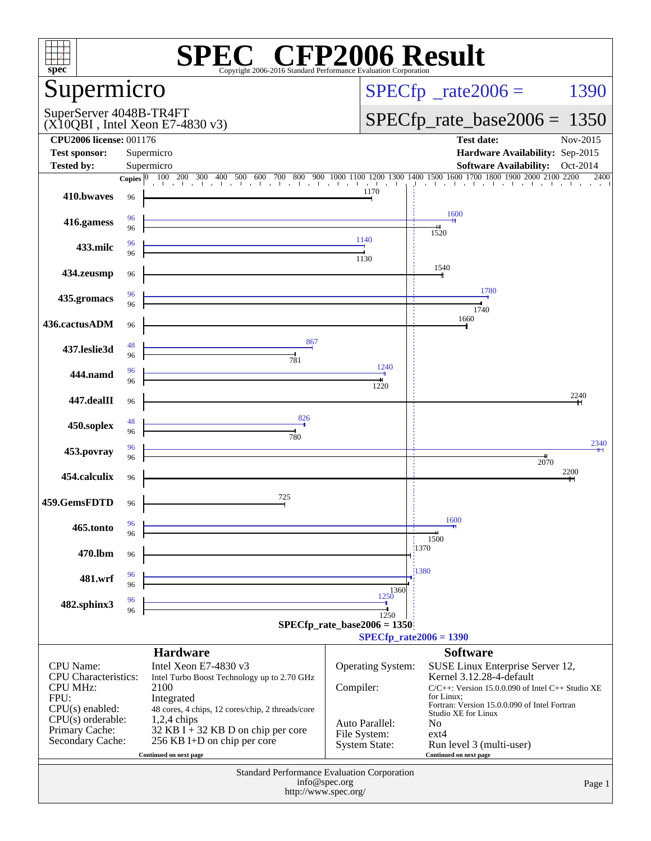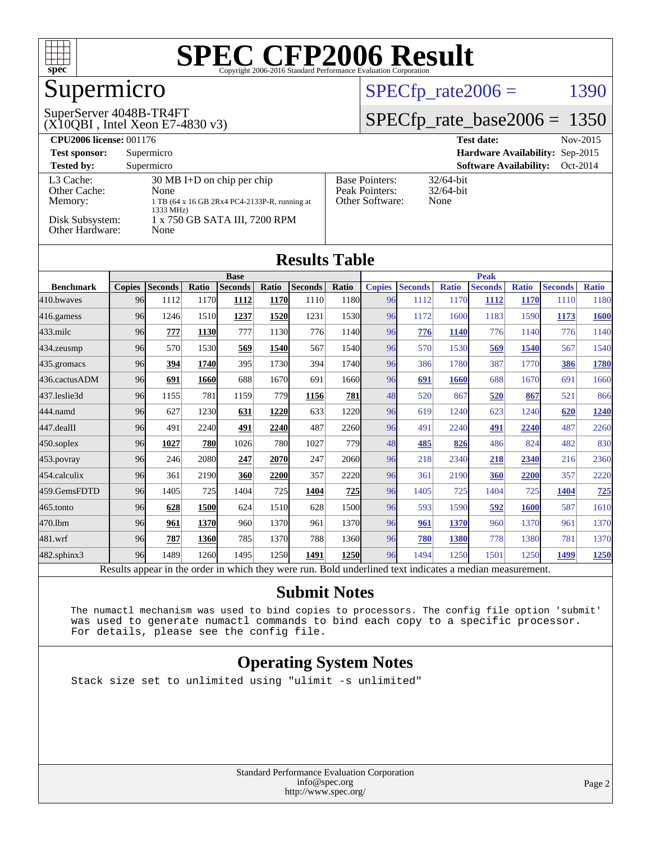

## Supermicro

#### SuperServer 4048B-TR4FT

(X10QBI , Intel Xeon E7-4830 v3)

#### $SPECfp_rate2006 = 1390$  $SPECfp_rate2006 = 1390$

#### [SPECfp\\_rate\\_base2006 =](http://www.spec.org/auto/cpu2006/Docs/result-fields.html#SPECfpratebase2006) 1350

| <b>CPU2006 license: 001176</b>                                             |                                                                                                                                                     |                                                            | <b>Test date:</b><br>Nov-2015             |  |  |
|----------------------------------------------------------------------------|-----------------------------------------------------------------------------------------------------------------------------------------------------|------------------------------------------------------------|-------------------------------------------|--|--|
| <b>Test sponsor:</b>                                                       | Supermicro                                                                                                                                          |                                                            | Hardware Availability: Sep-2015           |  |  |
| <b>Tested by:</b>                                                          | Supermicro                                                                                                                                          |                                                            | <b>Software Availability:</b><br>Oct-2014 |  |  |
| L3 Cache:<br>Other Cache:<br>Memory:<br>Disk Subsystem:<br>Other Hardware: | $30 \text{ MB I+D}$ on chip per chip<br>None<br>1 TB (64 x 16 GB 2Rx4 PC4-2133P-R, running at<br>1333 MHz)<br>1 x 750 GB SATA III, 7200 RPM<br>None | <b>Base Pointers:</b><br>Peak Pointers:<br>Other Software: | $32/64$ -bit<br>$32/64$ -bit<br>None      |  |  |

| <b>Results Table</b> |               |                |       |                |       |                |       |               |                |              |                |              |                |              |
|----------------------|---------------|----------------|-------|----------------|-------|----------------|-------|---------------|----------------|--------------|----------------|--------------|----------------|--------------|
|                      |               |                |       | <b>Base</b>    |       |                |       | <b>Peak</b>   |                |              |                |              |                |              |
| <b>Benchmark</b>     | <b>Copies</b> | <b>Seconds</b> | Ratio | <b>Seconds</b> | Ratio | <b>Seconds</b> | Ratio | <b>Copies</b> | <b>Seconds</b> | <b>Ratio</b> | <b>Seconds</b> | <b>Ratio</b> | <b>Seconds</b> | <b>Ratio</b> |
| 410.bwaves           | 96            | 1112           | 1170  | 1112           | 1170  | 1110           | 1180  | 96            | 1112           | 1170         | 1112           | 1170         | 1110           | 1180         |
| 416.gamess           | 96            | 1246           | 1510  | 1237           | 1520  | 1231           | 1530  | 96            | 1172           | 1600         | 1183           | 1590         | 1173           | <b>1600</b>  |
| 433.milc             | 96            | 777            | 1130  | 777            | 1130  | 776            | 1140  | 96            | 776            | 1140         | 776            | 1140         | 776            | 1140         |
| 434.zeusmp           | 96            | 570            | 1530  | 569            | 1540  | 567            | 1540  | 96            | 570            | 1530         | 569            | 1540         | 567            | 1540         |
| 435.gromacs          | 96            | 394            | 1740  | 395            | 1730  | 394            | 1740  | 96            | 386            | 1780         | 387            | 1770         | 386            | 1780         |
| 436.cactusADM        | 96            | 691            | 1660  | 688            | 1670  | 691            | 1660  | 96            | 691            | 1660         | 688            | 1670         | 691            | 1660         |
| 437.leslie3d         | 96            | 1155           | 781   | 1159           | 779   | 1156           | 781   | 48            | 520            | 867          | 520            | 867          | 521            | 866          |
| 444.namd             | 96            | 627            | 1230  | 631            | 1220  | 633            | 1220  | 96            | 619            | 1240         | 623            | 1240         | 620            | 1240         |
| 447.dealII           | 96            | 491            | 2240  | 491            | 2240  | 487            | 2260  | 96            | 491            | 2240         | <u>491</u>     | 2240         | 487            | 2260         |
| 450.soplex           | 96            | 1027           | 780   | 1026           | 780   | 1027           | 779   | 48            | 485            | 826          | 486            | 824          | 482            | 830          |
| 453.povray           | 96            | 246            | 2080  | 247            | 2070  | 247            | 2060  | 96            | 218            | 2340         | 218            | 2340         | 216            | 2360         |
| 454.calculix         | 96            | 361            | 2190  | 360            | 2200  | 357            | 2220  | 96            | 361            | 2190         | 360            | 2200         | 357            | 2220         |
| 459.GemsFDTD         | 96            | 1405           | 725   | 1404           | 725   | 1404           | 725   | 96            | 1405           | 725          | 1404           | 725          | 1404           | 725          |
| 465.tonto            | 96            | 628            | 1500  | 624            | 1510  | 628            | 1500  | 96            | 593            | 1590         | 592            | <b>1600</b>  | 587            | 1610         |
| 470.1bm              | 96            | 961            | 1370  | 960            | 1370  | 961            | 1370  | 96            | 961            | 1370         | 960            | 1370         | 961            | 1370         |
| 481.wrf              | 96            | 787            | 1360  | 785            | 1370  | 788            | 1360  | 96            | 780            | 1380         | 778            | 1380         | 781            | 1370         |
| 482.sphinx3          | 96            | 1489           | 1260  | 1495           | 1250  | 1491           | 1250  | 96            | 1494           | 1250         | 1501           | 1250         | 1499           | 1250         |

Results appear in the [order in which they were run.](http://www.spec.org/auto/cpu2006/Docs/result-fields.html#RunOrder) Bold underlined text [indicates a median measurement.](http://www.spec.org/auto/cpu2006/Docs/result-fields.html#Median)

#### **[Submit Notes](http://www.spec.org/auto/cpu2006/Docs/result-fields.html#SubmitNotes)**

 The numactl mechanism was used to bind copies to processors. The config file option 'submit' was used to generate numactl commands to bind each copy to a specific processor. For details, please see the config file.

#### **[Operating System Notes](http://www.spec.org/auto/cpu2006/Docs/result-fields.html#OperatingSystemNotes)**

Stack size set to unlimited using "ulimit -s unlimited"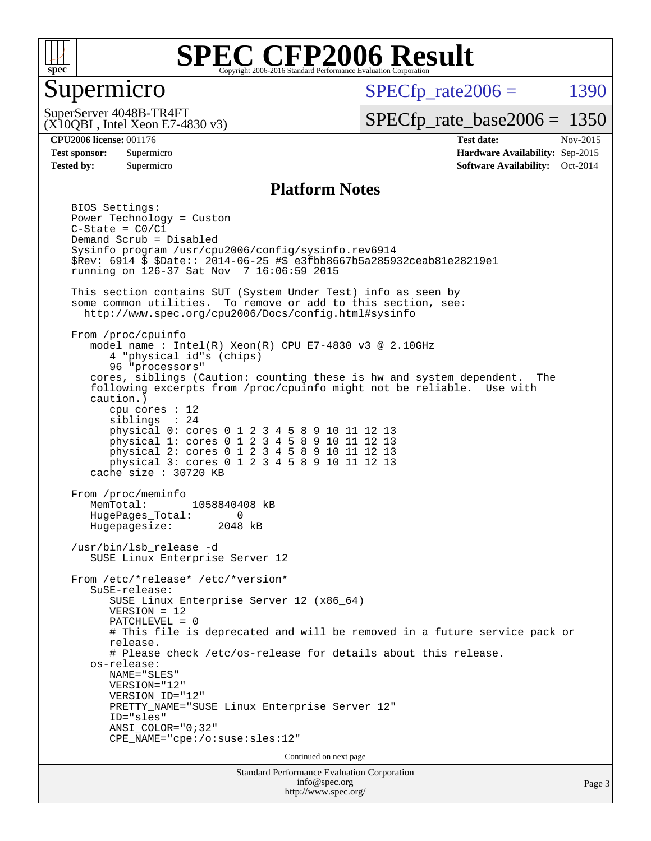

#### Supermicro

 $SPECTp\_rate2006 = 1390$ 

(X10QBI , Intel Xeon E7-4830 v3) SuperServer 4048B-TR4FT

[SPECfp\\_rate\\_base2006 =](http://www.spec.org/auto/cpu2006/Docs/result-fields.html#SPECfpratebase2006) 1350

**[CPU2006 license:](http://www.spec.org/auto/cpu2006/Docs/result-fields.html#CPU2006license)** 001176 **[Test date:](http://www.spec.org/auto/cpu2006/Docs/result-fields.html#Testdate)** Nov-2015 **[Test sponsor:](http://www.spec.org/auto/cpu2006/Docs/result-fields.html#Testsponsor)** Supermicro **[Hardware Availability:](http://www.spec.org/auto/cpu2006/Docs/result-fields.html#HardwareAvailability)** Sep-2015 **[Tested by:](http://www.spec.org/auto/cpu2006/Docs/result-fields.html#Testedby)** Supermicro **[Software Availability:](http://www.spec.org/auto/cpu2006/Docs/result-fields.html#SoftwareAvailability)** Oct-2014

#### **[Platform Notes](http://www.spec.org/auto/cpu2006/Docs/result-fields.html#PlatformNotes)**

Standard Performance Evaluation Corporation BIOS Settings: Power Technology = Custon  $C-State = CO/C1$  Demand Scrub = Disabled Sysinfo program /usr/cpu2006/config/sysinfo.rev6914 \$Rev: 6914 \$ \$Date:: 2014-06-25 #\$ e3fbb8667b5a285932ceab81e28219e1 running on 126-37 Sat Nov 7 16:06:59 2015 This section contains SUT (System Under Test) info as seen by some common utilities. To remove or add to this section, see: <http://www.spec.org/cpu2006/Docs/config.html#sysinfo> From /proc/cpuinfo model name : Intel(R) Xeon(R) CPU E7-4830 v3 @ 2.10GHz 4 "physical id"s (chips) 96 "processors" cores, siblings (Caution: counting these is hw and system dependent. The following excerpts from /proc/cpuinfo might not be reliable. Use with caution.) cpu cores : 12 siblings : 24 physical 0: cores 0 1 2 3 4 5 8 9 10 11 12 13 physical 1: cores 0 1 2 3 4 5 8 9 10 11 12 13 physical 2: cores 0 1 2 3 4 5 8 9 10 11 12 13 physical 3: cores 0 1 2 3 4 5 8 9 10 11 12 13 cache size : 30720 KB From /proc/meminfo<br>MemTotal: 1058840408 kB HugePages\_Total: 0 Hugepagesize: 2048 kB /usr/bin/lsb\_release -d SUSE Linux Enterprise Server 12 From /etc/\*release\* /etc/\*version\* SuSE-release: SUSE Linux Enterprise Server 12 (x86\_64) VERSION = 12 PATCHLEVEL = 0 # This file is deprecated and will be removed in a future service pack or release. # Please check /etc/os-release for details about this release. os-release: NAME="SLES" VERSION="12" VERSION\_ID="12" PRETTY\_NAME="SUSE Linux Enterprise Server 12" ID="sles" ANSI\_COLOR="0;32" CPE\_NAME="cpe:/o:suse:sles:12" Continued on next page

[info@spec.org](mailto:info@spec.org) <http://www.spec.org/>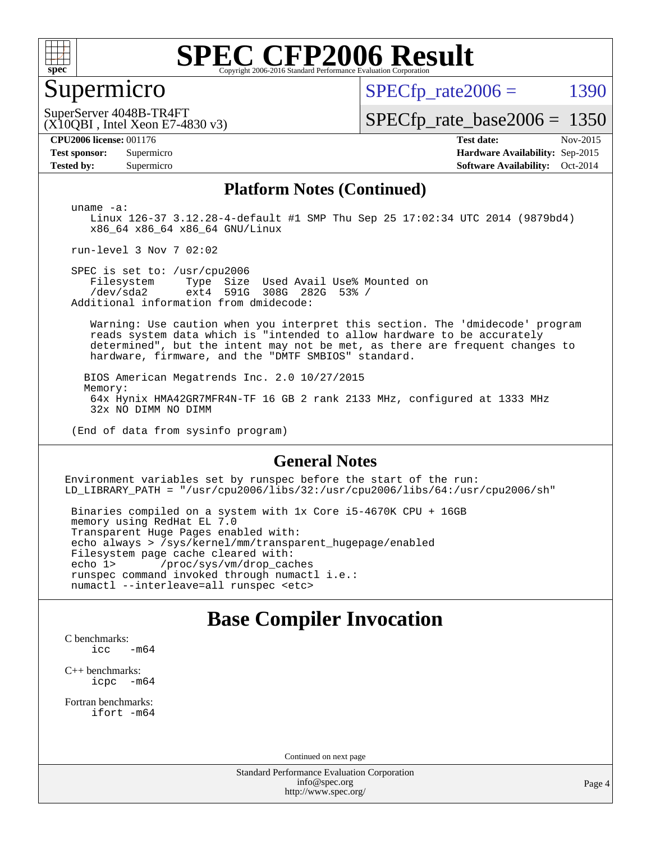

#### Supermicro

 $SPECTp_rate2006 = 1390$ 

(X10QBI , Intel Xeon E7-4830 v3) SuperServer 4048B-TR4FT

[SPECfp\\_rate\\_base2006 =](http://www.spec.org/auto/cpu2006/Docs/result-fields.html#SPECfpratebase2006) 1350

**[CPU2006 license:](http://www.spec.org/auto/cpu2006/Docs/result-fields.html#CPU2006license)** 001176 **[Test date:](http://www.spec.org/auto/cpu2006/Docs/result-fields.html#Testdate)** Nov-2015 **[Test sponsor:](http://www.spec.org/auto/cpu2006/Docs/result-fields.html#Testsponsor)** Supermicro **[Hardware Availability:](http://www.spec.org/auto/cpu2006/Docs/result-fields.html#HardwareAvailability)** Sep-2015 **[Tested by:](http://www.spec.org/auto/cpu2006/Docs/result-fields.html#Testedby)** Supermicro **[Software Availability:](http://www.spec.org/auto/cpu2006/Docs/result-fields.html#SoftwareAvailability)** Oct-2014

#### **[Platform Notes \(Continued\)](http://www.spec.org/auto/cpu2006/Docs/result-fields.html#PlatformNotes)**

 uname -a: Linux 126-37 3.12.28-4-default #1 SMP Thu Sep 25 17:02:34 UTC 2014 (9879bd4) x86\_64 x86\_64 x86\_64 GNU/Linux

run-level 3 Nov 7 02:02

 SPEC is set to: /usr/cpu2006 Filesystem Type Size Used Avail Use% Mounted on /dev/sda2 ext4 591G 308G 282G 53% / Additional information from dmidecode:

 Warning: Use caution when you interpret this section. The 'dmidecode' program reads system data which is "intended to allow hardware to be accurately determined", but the intent may not be met, as there are frequent changes to hardware, firmware, and the "DMTF SMBIOS" standard.

 BIOS American Megatrends Inc. 2.0 10/27/2015 Memory: 64x Hynix HMA42GR7MFR4N-TF 16 GB 2 rank 2133 MHz, configured at 1333 MHz 32x NO DIMM NO DIMM

(End of data from sysinfo program)

#### **[General Notes](http://www.spec.org/auto/cpu2006/Docs/result-fields.html#GeneralNotes)**

Environment variables set by runspec before the start of the run: LD\_LIBRARY\_PATH = "/usr/cpu2006/libs/32:/usr/cpu2006/libs/64:/usr/cpu2006/sh"

 Binaries compiled on a system with 1x Core i5-4670K CPU + 16GB memory using RedHat EL 7.0 Transparent Huge Pages enabled with: echo always > /sys/kernel/mm/transparent\_hugepage/enabled Filesystem page cache cleared with: echo 1> /proc/sys/vm/drop\_caches runspec command invoked through numactl i.e.: numactl --interleave=all runspec <etc>

#### **[Base Compiler Invocation](http://www.spec.org/auto/cpu2006/Docs/result-fields.html#BaseCompilerInvocation)**

[C benchmarks](http://www.spec.org/auto/cpu2006/Docs/result-fields.html#Cbenchmarks):

 $\text{icc}$  -m64

[C++ benchmarks:](http://www.spec.org/auto/cpu2006/Docs/result-fields.html#CXXbenchmarks) [icpc -m64](http://www.spec.org/cpu2006/results/res2016q1/cpu2006-20151215-38436.flags.html#user_CXXbase_intel_icpc_64bit_bedb90c1146cab66620883ef4f41a67e)

[Fortran benchmarks](http://www.spec.org/auto/cpu2006/Docs/result-fields.html#Fortranbenchmarks): [ifort -m64](http://www.spec.org/cpu2006/results/res2016q1/cpu2006-20151215-38436.flags.html#user_FCbase_intel_ifort_64bit_ee9d0fb25645d0210d97eb0527dcc06e)

Continued on next page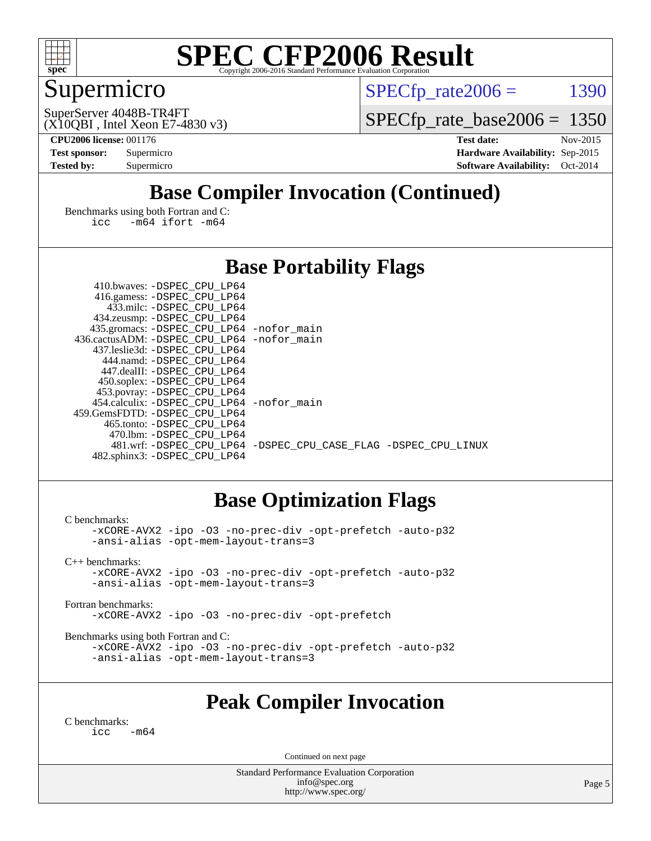

### Supermicro

 $SPECTp\_rate2006 = 1390$ 

(X10QBI , Intel Xeon E7-4830 v3) SuperServer 4048B-TR4FT

[SPECfp\\_rate\\_base2006 =](http://www.spec.org/auto/cpu2006/Docs/result-fields.html#SPECfpratebase2006) 1350

**[CPU2006 license:](http://www.spec.org/auto/cpu2006/Docs/result-fields.html#CPU2006license)** 001176 **[Test date:](http://www.spec.org/auto/cpu2006/Docs/result-fields.html#Testdate)** Nov-2015 **[Test sponsor:](http://www.spec.org/auto/cpu2006/Docs/result-fields.html#Testsponsor)** Supermicro **[Hardware Availability:](http://www.spec.org/auto/cpu2006/Docs/result-fields.html#HardwareAvailability)** Sep-2015 **[Tested by:](http://www.spec.org/auto/cpu2006/Docs/result-fields.html#Testedby)** Supermicro **[Software Availability:](http://www.spec.org/auto/cpu2006/Docs/result-fields.html#SoftwareAvailability)** Oct-2014

### **[Base Compiler Invocation \(Continued\)](http://www.spec.org/auto/cpu2006/Docs/result-fields.html#BaseCompilerInvocation)**

[Benchmarks using both Fortran and C](http://www.spec.org/auto/cpu2006/Docs/result-fields.html#BenchmarksusingbothFortranandC): [icc -m64](http://www.spec.org/cpu2006/results/res2016q1/cpu2006-20151215-38436.flags.html#user_CC_FCbase_intel_icc_64bit_0b7121f5ab7cfabee23d88897260401c) [ifort -m64](http://www.spec.org/cpu2006/results/res2016q1/cpu2006-20151215-38436.flags.html#user_CC_FCbase_intel_ifort_64bit_ee9d0fb25645d0210d97eb0527dcc06e)

#### **[Base Portability Flags](http://www.spec.org/auto/cpu2006/Docs/result-fields.html#BasePortabilityFlags)**

| 410.bwaves: -DSPEC CPU LP64                 |                                                                |
|---------------------------------------------|----------------------------------------------------------------|
| 416.gamess: -DSPEC_CPU_LP64                 |                                                                |
| 433.milc: -DSPEC CPU LP64                   |                                                                |
| 434.zeusmp: -DSPEC_CPU_LP64                 |                                                                |
| 435.gromacs: -DSPEC_CPU_LP64 -nofor_main    |                                                                |
| 436.cactusADM: -DSPEC CPU LP64 -nofor main  |                                                                |
| 437.leslie3d: -DSPEC CPU LP64               |                                                                |
| 444.namd: -DSPEC CPU LP64                   |                                                                |
| 447.dealII: -DSPEC CPU LP64                 |                                                                |
| 450.soplex: -DSPEC_CPU_LP64                 |                                                                |
| 453.povray: -DSPEC_CPU_LP64                 |                                                                |
| 454.calculix: - DSPEC CPU LP64 - nofor main |                                                                |
| 459.GemsFDTD: -DSPEC CPU LP64               |                                                                |
| 465.tonto: -DSPEC CPU LP64                  |                                                                |
| 470.1bm: - DSPEC CPU LP64                   |                                                                |
|                                             | 481.wrf: -DSPEC CPU_LP64 -DSPEC_CPU_CASE_FLAG -DSPEC_CPU_LINUX |
| 482.sphinx3: -DSPEC CPU LP64                |                                                                |

#### **[Base Optimization Flags](http://www.spec.org/auto/cpu2006/Docs/result-fields.html#BaseOptimizationFlags)**

[C benchmarks](http://www.spec.org/auto/cpu2006/Docs/result-fields.html#Cbenchmarks): [-xCORE-AVX2](http://www.spec.org/cpu2006/results/res2016q1/cpu2006-20151215-38436.flags.html#user_CCbase_f-xAVX2_5f5fc0cbe2c9f62c816d3e45806c70d7) [-ipo](http://www.spec.org/cpu2006/results/res2016q1/cpu2006-20151215-38436.flags.html#user_CCbase_f-ipo) [-O3](http://www.spec.org/cpu2006/results/res2016q1/cpu2006-20151215-38436.flags.html#user_CCbase_f-O3) [-no-prec-div](http://www.spec.org/cpu2006/results/res2016q1/cpu2006-20151215-38436.flags.html#user_CCbase_f-no-prec-div) [-opt-prefetch](http://www.spec.org/cpu2006/results/res2016q1/cpu2006-20151215-38436.flags.html#user_CCbase_f-opt-prefetch) [-auto-p32](http://www.spec.org/cpu2006/results/res2016q1/cpu2006-20151215-38436.flags.html#user_CCbase_f-auto-p32) [-ansi-alias](http://www.spec.org/cpu2006/results/res2016q1/cpu2006-20151215-38436.flags.html#user_CCbase_f-ansi-alias) [-opt-mem-layout-trans=3](http://www.spec.org/cpu2006/results/res2016q1/cpu2006-20151215-38436.flags.html#user_CCbase_f-opt-mem-layout-trans_a7b82ad4bd7abf52556d4961a2ae94d5) [C++ benchmarks:](http://www.spec.org/auto/cpu2006/Docs/result-fields.html#CXXbenchmarks) [-xCORE-AVX2](http://www.spec.org/cpu2006/results/res2016q1/cpu2006-20151215-38436.flags.html#user_CXXbase_f-xAVX2_5f5fc0cbe2c9f62c816d3e45806c70d7) [-ipo](http://www.spec.org/cpu2006/results/res2016q1/cpu2006-20151215-38436.flags.html#user_CXXbase_f-ipo) [-O3](http://www.spec.org/cpu2006/results/res2016q1/cpu2006-20151215-38436.flags.html#user_CXXbase_f-O3) [-no-prec-div](http://www.spec.org/cpu2006/results/res2016q1/cpu2006-20151215-38436.flags.html#user_CXXbase_f-no-prec-div) [-opt-prefetch](http://www.spec.org/cpu2006/results/res2016q1/cpu2006-20151215-38436.flags.html#user_CXXbase_f-opt-prefetch) [-auto-p32](http://www.spec.org/cpu2006/results/res2016q1/cpu2006-20151215-38436.flags.html#user_CXXbase_f-auto-p32) [-ansi-alias](http://www.spec.org/cpu2006/results/res2016q1/cpu2006-20151215-38436.flags.html#user_CXXbase_f-ansi-alias) [-opt-mem-layout-trans=3](http://www.spec.org/cpu2006/results/res2016q1/cpu2006-20151215-38436.flags.html#user_CXXbase_f-opt-mem-layout-trans_a7b82ad4bd7abf52556d4961a2ae94d5) [Fortran benchmarks](http://www.spec.org/auto/cpu2006/Docs/result-fields.html#Fortranbenchmarks): [-xCORE-AVX2](http://www.spec.org/cpu2006/results/res2016q1/cpu2006-20151215-38436.flags.html#user_FCbase_f-xAVX2_5f5fc0cbe2c9f62c816d3e45806c70d7) [-ipo](http://www.spec.org/cpu2006/results/res2016q1/cpu2006-20151215-38436.flags.html#user_FCbase_f-ipo) [-O3](http://www.spec.org/cpu2006/results/res2016q1/cpu2006-20151215-38436.flags.html#user_FCbase_f-O3) [-no-prec-div](http://www.spec.org/cpu2006/results/res2016q1/cpu2006-20151215-38436.flags.html#user_FCbase_f-no-prec-div) [-opt-prefetch](http://www.spec.org/cpu2006/results/res2016q1/cpu2006-20151215-38436.flags.html#user_FCbase_f-opt-prefetch) [Benchmarks using both Fortran and C](http://www.spec.org/auto/cpu2006/Docs/result-fields.html#BenchmarksusingbothFortranandC): [-xCORE-AVX2](http://www.spec.org/cpu2006/results/res2016q1/cpu2006-20151215-38436.flags.html#user_CC_FCbase_f-xAVX2_5f5fc0cbe2c9f62c816d3e45806c70d7) [-ipo](http://www.spec.org/cpu2006/results/res2016q1/cpu2006-20151215-38436.flags.html#user_CC_FCbase_f-ipo) [-O3](http://www.spec.org/cpu2006/results/res2016q1/cpu2006-20151215-38436.flags.html#user_CC_FCbase_f-O3) [-no-prec-div](http://www.spec.org/cpu2006/results/res2016q1/cpu2006-20151215-38436.flags.html#user_CC_FCbase_f-no-prec-div) [-opt-prefetch](http://www.spec.org/cpu2006/results/res2016q1/cpu2006-20151215-38436.flags.html#user_CC_FCbase_f-opt-prefetch) [-auto-p32](http://www.spec.org/cpu2006/results/res2016q1/cpu2006-20151215-38436.flags.html#user_CC_FCbase_f-auto-p32) [-ansi-alias](http://www.spec.org/cpu2006/results/res2016q1/cpu2006-20151215-38436.flags.html#user_CC_FCbase_f-ansi-alias) [-opt-mem-layout-trans=3](http://www.spec.org/cpu2006/results/res2016q1/cpu2006-20151215-38436.flags.html#user_CC_FCbase_f-opt-mem-layout-trans_a7b82ad4bd7abf52556d4961a2ae94d5)

#### **[Peak Compiler Invocation](http://www.spec.org/auto/cpu2006/Docs/result-fields.html#PeakCompilerInvocation)**

[C benchmarks](http://www.spec.org/auto/cpu2006/Docs/result-fields.html#Cbenchmarks):  $\text{icc}$   $-\text{m64}$ 

Continued on next page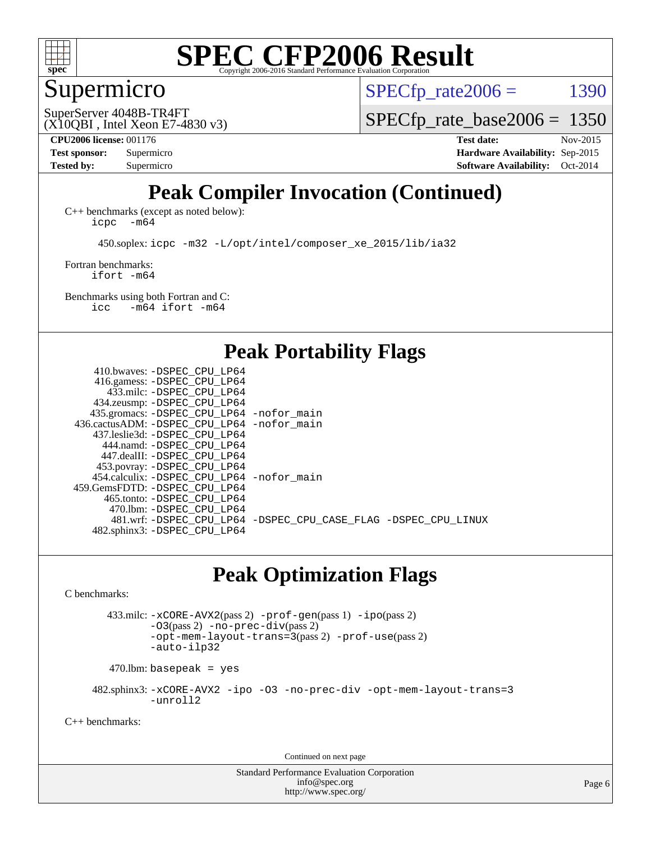

#### Supermicro

 $SPECTp\_rate2006 = 1390$ 

(X10QBI , Intel Xeon E7-4830 v3) SuperServer 4048B-TR4FT

[SPECfp\\_rate\\_base2006 =](http://www.spec.org/auto/cpu2006/Docs/result-fields.html#SPECfpratebase2006) 1350

**[Tested by:](http://www.spec.org/auto/cpu2006/Docs/result-fields.html#Testedby)** Supermicro **[Software Availability:](http://www.spec.org/auto/cpu2006/Docs/result-fields.html#SoftwareAvailability)** Oct-2014

**[CPU2006 license:](http://www.spec.org/auto/cpu2006/Docs/result-fields.html#CPU2006license)** 001176 **[Test date:](http://www.spec.org/auto/cpu2006/Docs/result-fields.html#Testdate)** Nov-2015 **[Test sponsor:](http://www.spec.org/auto/cpu2006/Docs/result-fields.html#Testsponsor)** Supermicro **[Hardware Availability:](http://www.spec.org/auto/cpu2006/Docs/result-fields.html#HardwareAvailability)** Sep-2015

### **[Peak Compiler Invocation \(Continued\)](http://www.spec.org/auto/cpu2006/Docs/result-fields.html#PeakCompilerInvocation)**

[C++ benchmarks \(except as noted below\):](http://www.spec.org/auto/cpu2006/Docs/result-fields.html#CXXbenchmarksexceptasnotedbelow) [icpc -m64](http://www.spec.org/cpu2006/results/res2016q1/cpu2006-20151215-38436.flags.html#user_CXXpeak_intel_icpc_64bit_bedb90c1146cab66620883ef4f41a67e)

450.soplex: [icpc -m32 -L/opt/intel/composer\\_xe\\_2015/lib/ia32](http://www.spec.org/cpu2006/results/res2016q1/cpu2006-20151215-38436.flags.html#user_peakCXXLD450_soplex_intel_icpc_c2c99686a1a582c3e0de0b4806b02cea)

[Fortran benchmarks](http://www.spec.org/auto/cpu2006/Docs/result-fields.html#Fortranbenchmarks): [ifort -m64](http://www.spec.org/cpu2006/results/res2016q1/cpu2006-20151215-38436.flags.html#user_FCpeak_intel_ifort_64bit_ee9d0fb25645d0210d97eb0527dcc06e)

[Benchmarks using both Fortran and C](http://www.spec.org/auto/cpu2006/Docs/result-fields.html#BenchmarksusingbothFortranandC): [icc -m64](http://www.spec.org/cpu2006/results/res2016q1/cpu2006-20151215-38436.flags.html#user_CC_FCpeak_intel_icc_64bit_0b7121f5ab7cfabee23d88897260401c) [ifort -m64](http://www.spec.org/cpu2006/results/res2016q1/cpu2006-20151215-38436.flags.html#user_CC_FCpeak_intel_ifort_64bit_ee9d0fb25645d0210d97eb0527dcc06e)

**[Peak Portability Flags](http://www.spec.org/auto/cpu2006/Docs/result-fields.html#PeakPortabilityFlags)**

 410.bwaves: [-DSPEC\\_CPU\\_LP64](http://www.spec.org/cpu2006/results/res2016q1/cpu2006-20151215-38436.flags.html#suite_peakPORTABILITY410_bwaves_DSPEC_CPU_LP64) 416.gamess: [-DSPEC\\_CPU\\_LP64](http://www.spec.org/cpu2006/results/res2016q1/cpu2006-20151215-38436.flags.html#suite_peakPORTABILITY416_gamess_DSPEC_CPU_LP64) 433.milc: [-DSPEC\\_CPU\\_LP64](http://www.spec.org/cpu2006/results/res2016q1/cpu2006-20151215-38436.flags.html#suite_peakPORTABILITY433_milc_DSPEC_CPU_LP64) 434.zeusmp: [-DSPEC\\_CPU\\_LP64](http://www.spec.org/cpu2006/results/res2016q1/cpu2006-20151215-38436.flags.html#suite_peakPORTABILITY434_zeusmp_DSPEC_CPU_LP64) 435.gromacs: [-DSPEC\\_CPU\\_LP64](http://www.spec.org/cpu2006/results/res2016q1/cpu2006-20151215-38436.flags.html#suite_peakPORTABILITY435_gromacs_DSPEC_CPU_LP64) [-nofor\\_main](http://www.spec.org/cpu2006/results/res2016q1/cpu2006-20151215-38436.flags.html#user_peakLDPORTABILITY435_gromacs_f-nofor_main) 436.cactusADM: [-DSPEC\\_CPU\\_LP64](http://www.spec.org/cpu2006/results/res2016q1/cpu2006-20151215-38436.flags.html#suite_peakPORTABILITY436_cactusADM_DSPEC_CPU_LP64) [-nofor\\_main](http://www.spec.org/cpu2006/results/res2016q1/cpu2006-20151215-38436.flags.html#user_peakLDPORTABILITY436_cactusADM_f-nofor_main) 437.leslie3d: [-DSPEC\\_CPU\\_LP64](http://www.spec.org/cpu2006/results/res2016q1/cpu2006-20151215-38436.flags.html#suite_peakPORTABILITY437_leslie3d_DSPEC_CPU_LP64) 444.namd: [-DSPEC\\_CPU\\_LP64](http://www.spec.org/cpu2006/results/res2016q1/cpu2006-20151215-38436.flags.html#suite_peakPORTABILITY444_namd_DSPEC_CPU_LP64) 447.dealII: [-DSPEC\\_CPU\\_LP64](http://www.spec.org/cpu2006/results/res2016q1/cpu2006-20151215-38436.flags.html#suite_peakPORTABILITY447_dealII_DSPEC_CPU_LP64) 453.povray: [-DSPEC\\_CPU\\_LP64](http://www.spec.org/cpu2006/results/res2016q1/cpu2006-20151215-38436.flags.html#suite_peakPORTABILITY453_povray_DSPEC_CPU_LP64) 454.calculix: [-DSPEC\\_CPU\\_LP64](http://www.spec.org/cpu2006/results/res2016q1/cpu2006-20151215-38436.flags.html#suite_peakPORTABILITY454_calculix_DSPEC_CPU_LP64) [-nofor\\_main](http://www.spec.org/cpu2006/results/res2016q1/cpu2006-20151215-38436.flags.html#user_peakLDPORTABILITY454_calculix_f-nofor_main) 459.GemsFDTD: [-DSPEC\\_CPU\\_LP64](http://www.spec.org/cpu2006/results/res2016q1/cpu2006-20151215-38436.flags.html#suite_peakPORTABILITY459_GemsFDTD_DSPEC_CPU_LP64) 465.tonto: [-DSPEC\\_CPU\\_LP64](http://www.spec.org/cpu2006/results/res2016q1/cpu2006-20151215-38436.flags.html#suite_peakPORTABILITY465_tonto_DSPEC_CPU_LP64) 470.lbm: [-DSPEC\\_CPU\\_LP64](http://www.spec.org/cpu2006/results/res2016q1/cpu2006-20151215-38436.flags.html#suite_peakPORTABILITY470_lbm_DSPEC_CPU_LP64) 481.wrf: [-DSPEC\\_CPU\\_LP64](http://www.spec.org/cpu2006/results/res2016q1/cpu2006-20151215-38436.flags.html#suite_peakPORTABILITY481_wrf_DSPEC_CPU_LP64) [-DSPEC\\_CPU\\_CASE\\_FLAG](http://www.spec.org/cpu2006/results/res2016q1/cpu2006-20151215-38436.flags.html#b481.wrf_peakCPORTABILITY_DSPEC_CPU_CASE_FLAG) [-DSPEC\\_CPU\\_LINUX](http://www.spec.org/cpu2006/results/res2016q1/cpu2006-20151215-38436.flags.html#b481.wrf_peakCPORTABILITY_DSPEC_CPU_LINUX) 482.sphinx3: [-DSPEC\\_CPU\\_LP64](http://www.spec.org/cpu2006/results/res2016q1/cpu2006-20151215-38436.flags.html#suite_peakPORTABILITY482_sphinx3_DSPEC_CPU_LP64)

### **[Peak Optimization Flags](http://www.spec.org/auto/cpu2006/Docs/result-fields.html#PeakOptimizationFlags)**

[C benchmarks](http://www.spec.org/auto/cpu2006/Docs/result-fields.html#Cbenchmarks):

 433.milc: [-xCORE-AVX2](http://www.spec.org/cpu2006/results/res2016q1/cpu2006-20151215-38436.flags.html#user_peakPASS2_CFLAGSPASS2_LDFLAGS433_milc_f-xAVX2_5f5fc0cbe2c9f62c816d3e45806c70d7)(pass 2) [-prof-gen](http://www.spec.org/cpu2006/results/res2016q1/cpu2006-20151215-38436.flags.html#user_peakPASS1_CFLAGSPASS1_LDFLAGS433_milc_prof_gen_e43856698f6ca7b7e442dfd80e94a8fc)(pass 1) [-ipo](http://www.spec.org/cpu2006/results/res2016q1/cpu2006-20151215-38436.flags.html#user_peakPASS2_CFLAGSPASS2_LDFLAGS433_milc_f-ipo)(pass 2) [-O3](http://www.spec.org/cpu2006/results/res2016q1/cpu2006-20151215-38436.flags.html#user_peakPASS2_CFLAGSPASS2_LDFLAGS433_milc_f-O3)(pass 2) [-no-prec-div](http://www.spec.org/cpu2006/results/res2016q1/cpu2006-20151215-38436.flags.html#user_peakPASS2_CFLAGSPASS2_LDFLAGS433_milc_f-no-prec-div)(pass 2) [-opt-mem-layout-trans=3](http://www.spec.org/cpu2006/results/res2016q1/cpu2006-20151215-38436.flags.html#user_peakPASS2_CFLAGS433_milc_f-opt-mem-layout-trans_a7b82ad4bd7abf52556d4961a2ae94d5)(pass 2) [-prof-use](http://www.spec.org/cpu2006/results/res2016q1/cpu2006-20151215-38436.flags.html#user_peakPASS2_CFLAGSPASS2_LDFLAGS433_milc_prof_use_bccf7792157ff70d64e32fe3e1250b55)(pass 2) [-auto-ilp32](http://www.spec.org/cpu2006/results/res2016q1/cpu2006-20151215-38436.flags.html#user_peakCOPTIMIZE433_milc_f-auto-ilp32)

 $470.$ lbm: basepeak = yes

 482.sphinx3: [-xCORE-AVX2](http://www.spec.org/cpu2006/results/res2016q1/cpu2006-20151215-38436.flags.html#user_peakOPTIMIZE482_sphinx3_f-xAVX2_5f5fc0cbe2c9f62c816d3e45806c70d7) [-ipo](http://www.spec.org/cpu2006/results/res2016q1/cpu2006-20151215-38436.flags.html#user_peakOPTIMIZE482_sphinx3_f-ipo) [-O3](http://www.spec.org/cpu2006/results/res2016q1/cpu2006-20151215-38436.flags.html#user_peakOPTIMIZE482_sphinx3_f-O3) [-no-prec-div](http://www.spec.org/cpu2006/results/res2016q1/cpu2006-20151215-38436.flags.html#user_peakOPTIMIZE482_sphinx3_f-no-prec-div) [-opt-mem-layout-trans=3](http://www.spec.org/cpu2006/results/res2016q1/cpu2006-20151215-38436.flags.html#user_peakOPTIMIZE482_sphinx3_f-opt-mem-layout-trans_a7b82ad4bd7abf52556d4961a2ae94d5) [-unroll2](http://www.spec.org/cpu2006/results/res2016q1/cpu2006-20151215-38436.flags.html#user_peakCOPTIMIZE482_sphinx3_f-unroll_784dae83bebfb236979b41d2422d7ec2)

[C++ benchmarks:](http://www.spec.org/auto/cpu2006/Docs/result-fields.html#CXXbenchmarks)

Continued on next page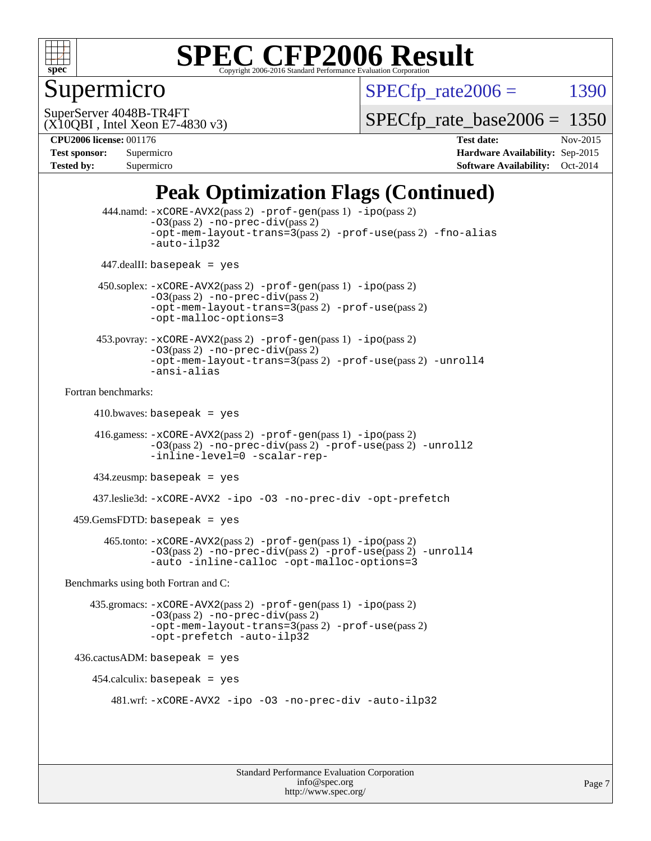

### Supermicro

 $SPECTp\_rate2006 = 1390$ 

(X10QBI , Intel Xeon E7-4830 v3) SuperServer 4048B-TR4FT

 $SPECTp\_rate\_base2006 = 1350$ 

**[Tested by:](http://www.spec.org/auto/cpu2006/Docs/result-fields.html#Testedby)** Supermicro **[Software Availability:](http://www.spec.org/auto/cpu2006/Docs/result-fields.html#SoftwareAvailability)** Oct-2014

**[CPU2006 license:](http://www.spec.org/auto/cpu2006/Docs/result-fields.html#CPU2006license)** 001176 **[Test date:](http://www.spec.org/auto/cpu2006/Docs/result-fields.html#Testdate)** Nov-2015 **[Test sponsor:](http://www.spec.org/auto/cpu2006/Docs/result-fields.html#Testsponsor)** Supermicro **[Hardware Availability:](http://www.spec.org/auto/cpu2006/Docs/result-fields.html#HardwareAvailability)** Sep-2015

### **[Peak Optimization Flags \(Continued\)](http://www.spec.org/auto/cpu2006/Docs/result-fields.html#PeakOptimizationFlags)**

```
 444.namd: -xCORE-AVX2(pass 2) -prof-gen(pass 1) -ipo(pass 2)
               -O3(pass 2) -no-prec-div(pass 2)
               -opt-mem-layout-trans=3(pass 2) -prof-use(pass 2) -fno-alias
               -auto-ilp32
      447.dealII: basepeak = yes
      450.soplex: -xCORE-AVX2(pass 2) -prof-gen(pass 1) -ipo(pass 2)
               -O3(pass 2) -no-prec-div(pass 2)
               -opt-mem-layout-trans=3(pass 2) -prof-use(pass 2)
               -opt-malloc-options=3
      453.povray: -xCORE-AVX2(pass 2) -prof-gen(pass 1) -ipo(pass 2)
               -O3(pass 2) -no-prec-div(pass 2)
               -opt-mem-layout-trans=3(pass 2) -prof-use(pass 2) -unroll4
               -ansi-alias
Fortran benchmarks: 
     410.bwaves: basepeak = yes 416.gamess: -xCORE-AVX2(pass 2) -prof-gen(pass 1) -ipo(pass 2)
               -03(pass 2) -no-prec-div(pass 2) -prof-use(pass 2) -unroll2-inline-level=0 -scalar-rep-
      434.zeusmp: basepeak = yes
     437.leslie3d: -xCORE-AVX2 -ipo -O3 -no-prec-div -opt-prefetch
  459.GemsFDTD: basepeak = yes
        465.tonto: -xCORE-AVX2(pass 2) -prof-gen(pass 1) -ipo(pass 2)
               -03(pass 2) -no-prec-div-prof-use(pass 2) -unroll 4-auto -inline-calloc -opt-malloc-options=3
Benchmarks using both Fortran and C: 
     435.gromacs: -xCORE-AVX2(pass 2) -prof-gen(pass 1) -ipo(pass 2)
               -O3(pass 2) -no-prec-div(pass 2)
               -opt-mem-layout-trans=3(pass 2) -prof-use(pass 2)
               -opt-prefetch -auto-ilp32
 436.cactusADM:basepeak = yes454.calculix: basepeak = yes
         481.wrf: -xCORE-AVX2 -ipo -O3 -no-prec-div -auto-ilp32
```